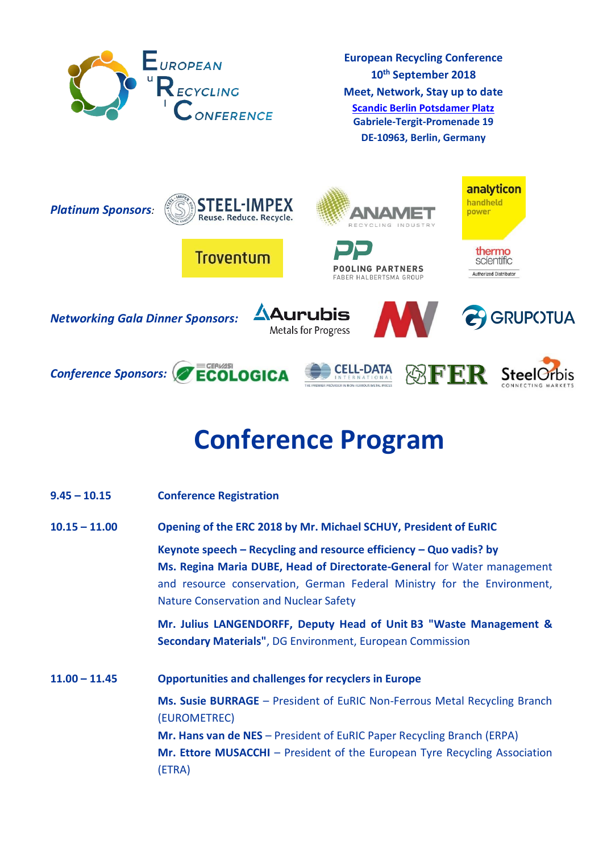

 $8<sup>o</sup>$ 

**European Recycling Conference 10th September 2018 Meet, Network, Stay up to date [Scandic Berlin Potsdamer Platz](https://goo.gl/maps/i1nevkyMt2y) Gabriele-Tergit-Promenade 19 DE-10963, Berlin, Germany**







FABER HALBERTSMA GROUP

handheld power thermo scientific Authorized Distributor

analyticon

*Networking Gala Dinner Sponsors:* 

*Platinum Sponsors:*







## **Conference Program**

| $9.45 - 10.15$  | <b>Conference Registration</b>                                                                                                                                                                                                                                            |
|-----------------|---------------------------------------------------------------------------------------------------------------------------------------------------------------------------------------------------------------------------------------------------------------------------|
| $10.15 - 11.00$ | Opening of the ERC 2018 by Mr. Michael SCHUY, President of EuRIC                                                                                                                                                                                                          |
|                 | Keynote speech – Recycling and resource efficiency – Quo vadis? by<br>Ms. Regina Maria DUBE, Head of Directorate-General for Water management<br>and resource conservation, German Federal Ministry for the Environment,<br><b>Nature Conservation and Nuclear Safety</b> |
|                 | Mr. Julius LANGENDORFF, Deputy Head of Unit B3 "Waste Management &<br><b>Secondary Materials", DG Environment, European Commission</b>                                                                                                                                    |
| $11.00 - 11.45$ | <b>Opportunities and challenges for recyclers in Europe</b>                                                                                                                                                                                                               |
|                 | Ms. Susie BURRAGE - President of EuRIC Non-Ferrous Metal Recycling Branch<br>(EUROMETREC)                                                                                                                                                                                 |
|                 | <b>Mr. Hans van de NES</b> – President of EuRIC Paper Recycling Branch (ERPA)<br>Mr. Ettore MUSACCHI - President of the European Tyre Recycling Association<br>(ETRA)                                                                                                     |